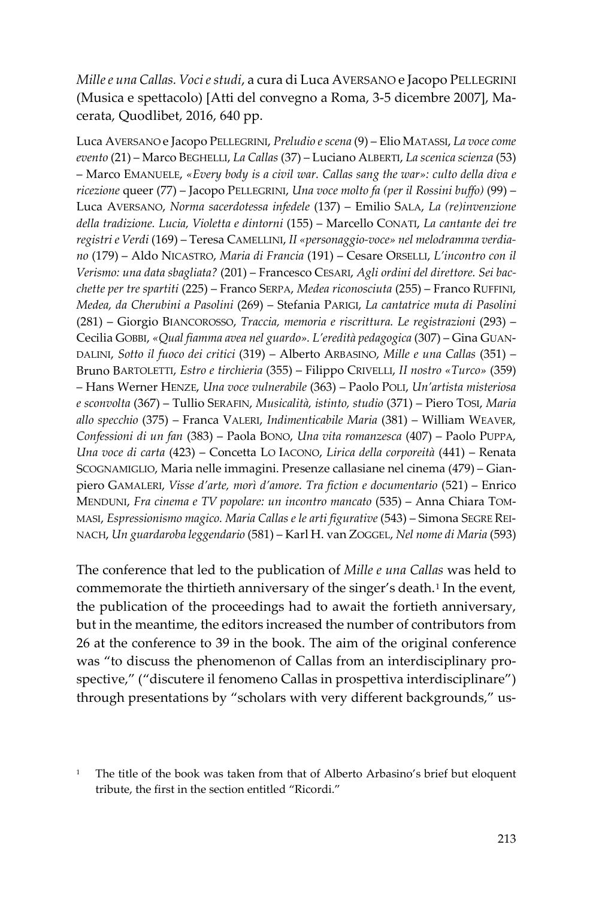*Mille e una Callas. Voci e studi*, a cura di Luca AVERSANO e Jacopo PELLEGRINI (Musica e spettacolo) [Atti del convegno a Roma, 3-5 dicembre 2007], Macerata, Quodlibet, 2016, 640 pp.

Luca AVERSANO e Jacopo PELLEGRINI, *Preludio e scena* (9) – Elio MATASSI, *La voce come evento* (21) – Marco BEGHELLI, *La Callas* (37) – Luciano ALBERTI, *La scenica scienza* (53) – Marco EMANUELE, *«Every body is a civil war. Callas sang the war»: culto della diva e ricezione* queer (77) – Jacopo PELLEGRINI, *Una voce molto fa (per il Rossini buffo)* (99) – Luca AVERSANO, *Norma sacerdotessa infedele* (137) – Emilio SALA, *La (re)invenzione della tradizione. Lucia, Violetta e dintorni* (155) – Marcello CONATI, *La cantante dei tre registri e Verdi* (169) – Teresa CAMELLINI, *II «personaggio-voce» nel melodramma verdiano* (179) – Aldo NICASTRO, *Maria di Francia* (191) – Cesare ORSELLI, *L'incontro con il Verismo: una data sbagliata?* (201) – Francesco CESARI, *Agli ordini del direttore. Sei bacchette per tre spartiti* (225) – Franco SERPA, *Medea riconosciuta* (255) – Franco RUFFINI, *Medea, da Cherubini a Pasolini* (269) – Stefania PARIGI, *La cantatrice muta di Pasolini* (281) – Giorgio BIANCOROSSO, *Traccia, memoria e riscrittura. Le registrazioni* (293) – Cecilia GOBBI, *«Qual fiamma avea nel guardo». L'eredità pedagogica* (307) – Gina GUAN-DALINI, *Sotto il fuoco dei critici* (319) – Alberto ARBASINO, *Mille e una Callas* (351) – Bruno BARTOLETTI, *Estro e tirchieria* (355) – Filippo CRIVELLI, *II nostro «Turco»* (359) – Hans Werner HENZE, *Una voce vulnerabile* (363) – Paolo POLI, *Un'artista misteriosa e sconvolta* (367) – Tullio SERAFIN, *Musicalità, istinto, studio* (371) – Piero TOSI, *Maria allo specchio* (375) – Franca VALERI, *Indimenticabile Maria* (381) – William WEAVER, *Confessioni di un fan* (383) – Paola BONO, *Una vita romanzesca* (407) – Paolo PUPPA, *Una voce di carta* (423) – Concetta LO IACONO, *Lirica della corporeità* (441) – Renata SCOGNAMIGLIO, Maria nelle immagini. Presenze callasiane nel cinema (479) – Gianpiero GAMALERI, *Visse d'arte, morì d'amore. Tra fiction e documentario* (521) – Enrico MENDUNI, *Fra cinema e TV popolare: un incontro mancato* (535) – Anna Chiara TOM-MASI, *Espressionismo magico. Maria Callas e le arti figurative* (543) – Simona SEGRE REI-NACH, *Un guardaroba leggendario* (581) – Karl H. van ZOGGEL, *Nel nome di Maria* (593)

The conference that led to the publication of *Mille e una Callas* was held to commemorate the thirtieth anniversary of the singer's death.<sup>[1](#page-0-0)</sup> In the event, the publication of the proceedings had to await the fortieth anniversary, but in the meantime, the editors increased the number of contributors from 26 at the conference to 39 in the book. The aim of the original conference was "to discuss the phenomenon of Callas from an interdisciplinary prospective," ("discutere il fenomeno Callas in prospettiva interdisciplinare") through presentations by "scholars with very different backgrounds," us-

<span id="page-0-0"></span>The title of the book was taken from that of Alberto Arbasino's brief but eloquent tribute, the first in the section entitled "Ricordi."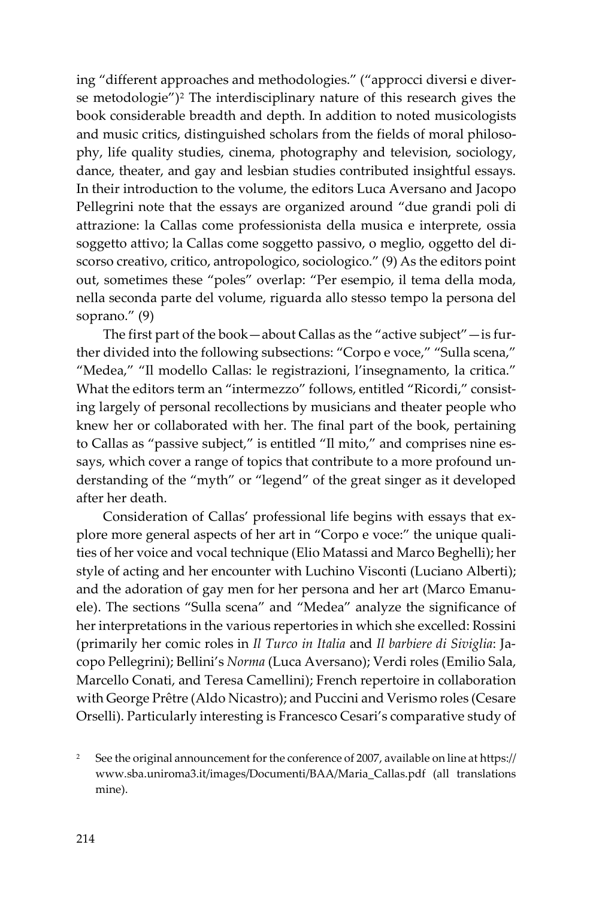ing "different approaches and methodologies." ("approcci diversi e diver-se metodologie")<sup>[2](#page-1-0)</sup> The interdisciplinary nature of this research gives the book considerable breadth and depth. In addition to noted musicologists and music critics, distinguished scholars from the fields of moral philosophy, life quality studies, cinema, photography and television, sociology, dance, theater, and gay and lesbian studies contributed insightful essays. In their introduction to the volume, the editors Luca Aversano and Jacopo Pellegrini note that the essays are organized around "due grandi poli di attrazione: la Callas come professionista della musica e interprete, ossia soggetto attivo; la Callas come soggetto passivo, o meglio, oggetto del discorso creativo, critico, antropologico, sociologico." (9) As the editors point out, sometimes these "poles" overlap: "Per esempio, il tema della moda, nella seconda parte del volume, riguarda allo stesso tempo la persona del soprano." (9)

The first part of the book—about Callas as the "active subject"—is further divided into the following subsections: "Corpo e voce," "Sulla scena," "Medea," "Il modello Callas: le registrazioni, l'insegnamento, la critica." What the editors term an "intermezzo" follows, entitled "Ricordi," consisting largely of personal recollections by musicians and theater people who knew her or collaborated with her. The final part of the book, pertaining to Callas as "passive subject," is entitled "Il mito," and comprises nine essays, which cover a range of topics that contribute to a more profound understanding of the "myth" or "legend" of the great singer as it developed after her death.

Consideration of Callas' professional life begins with essays that explore more general aspects of her art in "Corpo e voce:" the unique qualities of her voice and vocal technique (Elio Matassi and Marco Beghelli); her style of acting and her encounter with Luchino Visconti (Luciano Alberti); and the adoration of gay men for her persona and her art (Marco Emanuele). The sections "Sulla scena" and "Medea" analyze the significance of her interpretations in the various repertories in which she excelled: Rossini (primarily her comic roles in *Il Turco in Italia* and *Il barbiere di Siviglia*: Jacopo Pellegrini); Bellini's *Norma* (Luca Aversano); Verdi roles (Emilio Sala, Marcello Conati, and Teresa Camellini); French repertoire in collaboration with George Prêtre (Aldo Nicastro); and Puccini and Verismo roles (Cesare Orselli). Particularly interesting is Francesco Cesari's comparative study of

<span id="page-1-0"></span><sup>&</sup>lt;sup>2</sup> See the original announcement for the conference of 2007, available on line at https:// www.sba.uniroma3.it/images/Documenti/BAA/Maria\_Callas.pdf (all translations mine).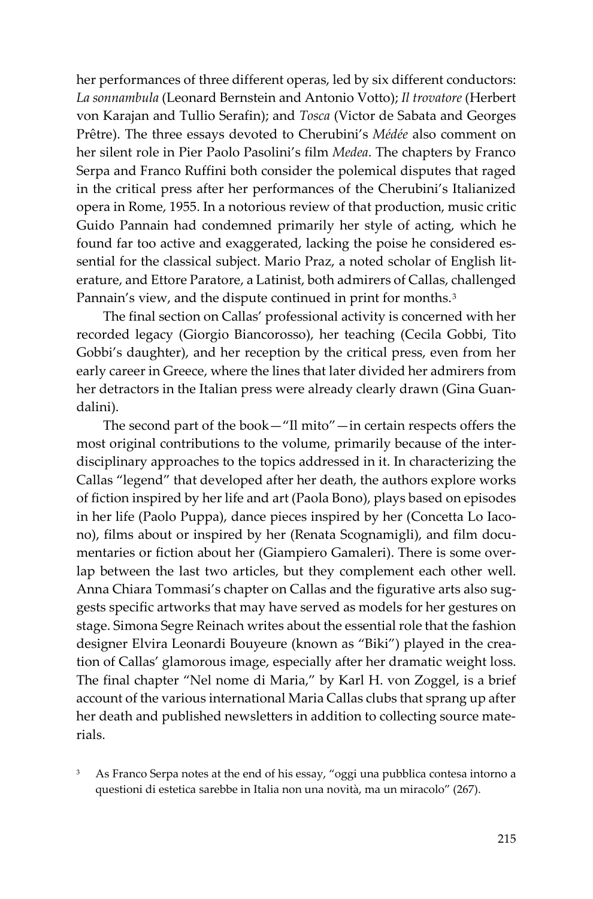her performances of three different operas, led by six different conductors: *La sonnambula* (Leonard Bernstein and Antonio Votto); *Il trovatore* (Herbert von Karajan and Tullio Serafin); and *Tosca* (Victor de Sabata and Georges Prêtre). The three essays devoted to Cherubini's *Médée* also comment on her silent role in Pier Paolo Pasolini's film *Medea*. The chapters by Franco Serpa and Franco Ruffini both consider the polemical disputes that raged in the critical press after her performances of the Cherubini's Italianized opera in Rome, 1955. In a notorious review of that production, music critic Guido Pannain had condemned primarily her style of acting, which he found far too active and exaggerated, lacking the poise he considered essential for the classical subject. Mario Praz, a noted scholar of English literature, and Ettore Paratore, a Latinist, both admirers of Callas, challenged Pannain's view, and the dispute continued in print for months.<sup>[3](#page-2-0)</sup>

The final section on Callas' professional activity is concerned with her recorded legacy (Giorgio Biancorosso), her teaching (Cecila Gobbi, Tito Gobbi's daughter), and her reception by the critical press, even from her early career in Greece, where the lines that later divided her admirers from her detractors in the Italian press were already clearly drawn (Gina Guandalini).

The second part of the book—"Il mito"—in certain respects offers the most original contributions to the volume, primarily because of the interdisciplinary approaches to the topics addressed in it. In characterizing the Callas "legend" that developed after her death, the authors explore works of fiction inspired by her life and art (Paola Bono), plays based on episodes in her life (Paolo Puppa), dance pieces inspired by her (Concetta Lo Iacono), films about or inspired by her (Renata Scognamigli), and film documentaries or fiction about her (Giampiero Gamaleri). There is some overlap between the last two articles, but they complement each other well. Anna Chiara Tommasi's chapter on Callas and the figurative arts also suggests specific artworks that may have served as models for her gestures on stage. Simona Segre Reinach writes about the essential role that the fashion designer Elvira Leonardi Bouyeure (known as "Biki") played in the creation of Callas' glamorous image, especially after her dramatic weight loss. The final chapter "Nel nome di Maria," by Karl H. von Zoggel, is a brief account of the various international Maria Callas clubs that sprang up after her death and published newsletters in addition to collecting source materials.

<span id="page-2-0"></span>As Franco Serpa notes at the end of his essay, "oggi una pubblica contesa intorno a questioni di estetica sarebbe in Italia non una novità, ma un miracolo" (267).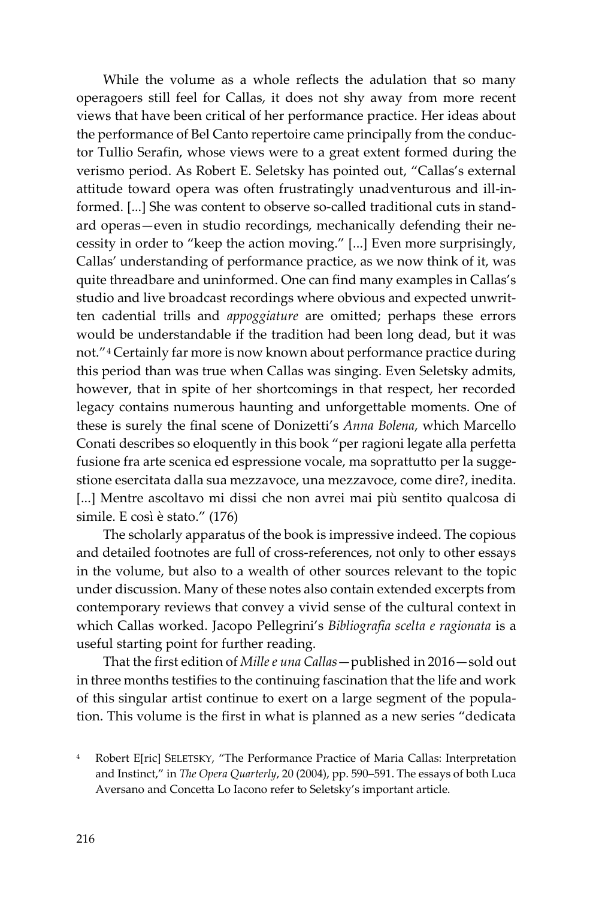While the volume as a whole reflects the adulation that so many operagoers still feel for Callas, it does not shy away from more recent views that have been critical of her performance practice. Her ideas about the performance of Bel Canto repertoire came principally from the conductor Tullio Serafin, whose views were to a great extent formed during the verismo period. As Robert E. Seletsky has pointed out, "Callas's external attitude toward opera was often frustratingly unadventurous and ill-informed. [...] She was content to observe so-called traditional cuts in standard operas—even in studio recordings, mechanically defending their necessity in order to "keep the action moving." [...] Even more surprisingly, Callas' understanding of performance practice, as we now think of it, was quite threadbare and uninformed. One can find many examples in Callas's studio and live broadcast recordings where obvious and expected unwritten cadential trills and *appoggiature* are omitted; perhaps these errors would be understandable if the tradition had been long dead, but it was not."[4](#page-3-0) Certainly far more is now known about performance practice during this period than was true when Callas was singing. Even Seletsky admits, however, that in spite of her shortcomings in that respect, her recorded legacy contains numerous haunting and unforgettable moments. One of these is surely the final scene of Donizetti's *Anna Bolena*, which Marcello Conati describes so eloquently in this book "per ragioni legate alla perfetta fusione fra arte scenica ed espressione vocale, ma soprattutto per la suggestione esercitata dalla sua mezzavoce, una mezzavoce, come dire?, inedita. [...] Mentre ascoltavo mi dissi che non avrei mai più sentito qualcosa di simile. E così è stato." (176)

The scholarly apparatus of the book is impressive indeed. The copious and detailed footnotes are full of cross-references, not only to other essays in the volume, but also to a wealth of other sources relevant to the topic under discussion. Many of these notes also contain extended excerpts from contemporary reviews that convey a vivid sense of the cultural context in which Callas worked. Jacopo Pellegrini's *Bibliografia scelta e ragionata* is a useful starting point for further reading.

That the first edition of *Mille e una Callas*—published in 2016—sold out in three months testifies to the continuing fascination that the life and work of this singular artist continue to exert on a large segment of the population. This volume is the first in what is planned as a new series "dedicata

<span id="page-3-0"></span><sup>4</sup> Robert E[ric] SELETSKY, "The Performance Practice of Maria Callas: Interpretation and Instinct," in *The Opera Quarterly*, 20 (2004), pp. 590–591. The essays of both Luca Aversano and Concetta Lo Iacono refer to Seletsky's important article.